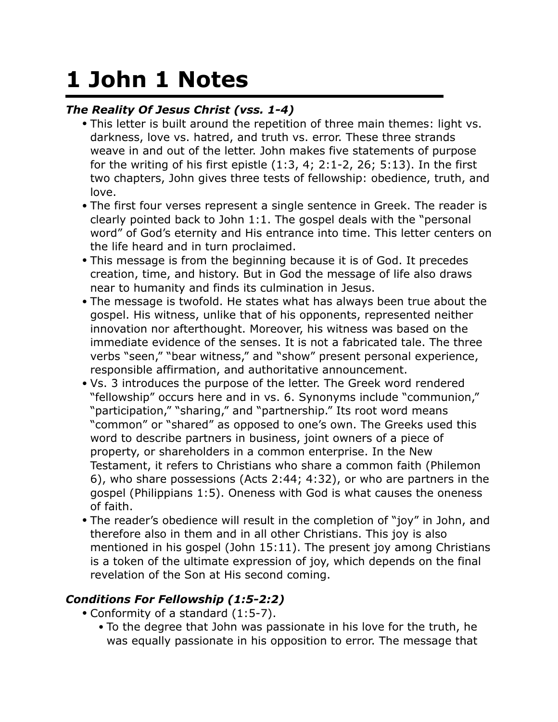## **1 John 1 Notes**

## *The Reality Of Jesus Christ (vss. 1-4)*

- This letter is built around the repetition of three main themes: light vs. darkness, love vs. hatred, and truth vs. error. These three strands weave in and out of the letter. John makes five statements of purpose for the writing of his first epistle  $(1:3, 4; 2:1-2, 26; 5:13)$ . In the first two chapters, John gives three tests of fellowship: obedience, truth, and love.
- The first four verses represent a single sentence in Greek. The reader is clearly pointed back to John 1:1. The gospel deals with the "personal word" of God's eternity and His entrance into time. This letter centers on the life heard and in turn proclaimed.
- This message is from the beginning because it is of God. It precedes creation, time, and history. But in God the message of life also draws near to humanity and finds its culmination in Jesus.
- The message is twofold. He states what has always been true about the gospel. His witness, unlike that of his opponents, represented neither innovation nor afterthought. Moreover, his witness was based on the immediate evidence of the senses. It is not a fabricated tale. The three verbs "seen," "bear witness," and "show" present personal experience, responsible affirmation, and authoritative announcement.
- Vs. 3 introduces the purpose of the letter. The Greek word rendered "fellowship" occurs here and in vs. 6. Synonyms include "communion," "participation," "sharing," and "partnership." Its root word means "common" or "shared" as opposed to one's own. The Greeks used this word to describe partners in business, joint owners of a piece of property, or shareholders in a common enterprise. In the New Testament, it refers to Christians who share a common faith (Philemon 6), who share possessions (Acts 2:44; 4:32), or who are partners in the gospel (Philippians 1:5). Oneness with God is what causes the oneness of faith.
- The reader's obedience will result in the completion of "joy" in John, and therefore also in them and in all other Christians. This joy is also mentioned in his gospel (John 15:11). The present joy among Christians is a token of the ultimate expression of joy, which depends on the final revelation of the Son at His second coming.

## *Conditions For Fellowship (1:5-2:2)*

- Conformity of a standard (1:5-7).
	- To the degree that John was passionate in his love for the truth, he was equally passionate in his opposition to error. The message that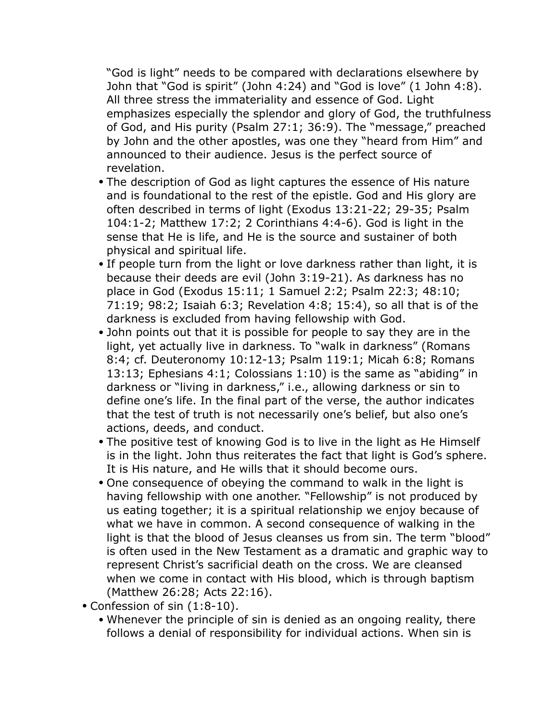"God is light" needs to be compared with declarations elsewhere by John that "God is spirit" (John 4:24) and "God is love" (1 John 4:8). All three stress the immateriality and essence of God. Light emphasizes especially the splendor and glory of God, the truthfulness of God, and His purity (Psalm 27:1; 36:9). The "message," preached by John and the other apostles, was one they "heard from Him" and announced to their audience. Jesus is the perfect source of revelation.

- The description of God as light captures the essence of His nature and is foundational to the rest of the epistle. God and His glory are often described in terms of light (Exodus 13:21-22; 29-35; Psalm 104:1-2; Matthew 17:2; 2 Corinthians 4:4-6). God is light in the sense that He is life, and He is the source and sustainer of both physical and spiritual life.
- If people turn from the light or love darkness rather than light, it is because their deeds are evil (John 3:19-21). As darkness has no place in God (Exodus 15:11; 1 Samuel 2:2; Psalm 22:3; 48:10; 71:19; 98:2; Isaiah 6:3; Revelation 4:8; 15:4), so all that is of the darkness is excluded from having fellowship with God.
- John points out that it is possible for people to say they are in the light, yet actually live in darkness. To "walk in darkness" (Romans 8:4; cf. Deuteronomy 10:12-13; Psalm 119:1; Micah 6:8; Romans 13:13; Ephesians 4:1; Colossians 1:10) is the same as "abiding" in darkness or "living in darkness," i.e., allowing darkness or sin to define one's life. In the final part of the verse, the author indicates that the test of truth is not necessarily one's belief, but also one's actions, deeds, and conduct.
- The positive test of knowing God is to live in the light as He Himself is in the light. John thus reiterates the fact that light is God's sphere. It is His nature, and He wills that it should become ours.
- One consequence of obeying the command to walk in the light is having fellowship with one another. "Fellowship" is not produced by us eating together; it is a spiritual relationship we enjoy because of what we have in common. A second consequence of walking in the light is that the blood of Jesus cleanses us from sin. The term "blood" is often used in the New Testament as a dramatic and graphic way to represent Christ's sacrificial death on the cross. We are cleansed when we come in contact with His blood, which is through baptism (Matthew 26:28; Acts 22:16).
- Confession of sin (1:8-10).
	- Whenever the principle of sin is denied as an ongoing reality, there follows a denial of responsibility for individual actions. When sin is